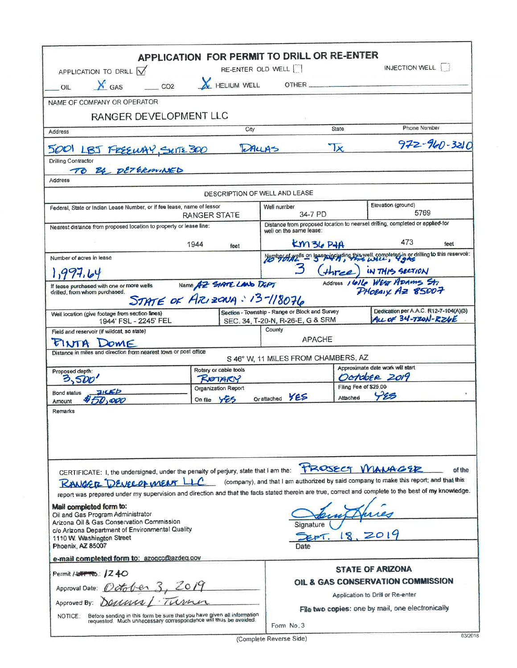| APPLICATION TO DRILL $\sqrt{ }$<br><b>X</b> GAS<br>CO2<br>O <sub>II</sub>                                                                                                                                                                                                    | APPLICATION FOR PERMIT TO DRILL OR RE-ENTER<br>RE-ENTER OLD WELL<br>HELIUM WELL | OTHER                                                                                                    |                                                  | INJECTION WELL                                               |        |  |  |
|------------------------------------------------------------------------------------------------------------------------------------------------------------------------------------------------------------------------------------------------------------------------------|---------------------------------------------------------------------------------|----------------------------------------------------------------------------------------------------------|--------------------------------------------------|--------------------------------------------------------------|--------|--|--|
|                                                                                                                                                                                                                                                                              |                                                                                 |                                                                                                          |                                                  |                                                              |        |  |  |
| NAME OF COMPANY OR OPERATOR<br>RANGER DEVELOPMENT LLC                                                                                                                                                                                                                        |                                                                                 |                                                                                                          |                                                  |                                                              |        |  |  |
| Address                                                                                                                                                                                                                                                                      | City                                                                            |                                                                                                          | State                                            | Phone Number                                                 |        |  |  |
|                                                                                                                                                                                                                                                                              | <b>DALLAS</b>                                                                   |                                                                                                          | $\mathbf{x}$                                     | 972-960-3210                                                 |        |  |  |
| 5001 LBJ FREEWAY, SUITE 300<br>Drilling Contractor<br>TO BE DETERMINED                                                                                                                                                                                                       |                                                                                 |                                                                                                          |                                                  |                                                              |        |  |  |
| Address                                                                                                                                                                                                                                                                      |                                                                                 |                                                                                                          |                                                  |                                                              |        |  |  |
|                                                                                                                                                                                                                                                                              | DESCRIPTION OF WELL AND LEASE                                                   |                                                                                                          |                                                  |                                                              |        |  |  |
| Federal, State or Indian Lease Number, or if fee lease, name of lessor                                                                                                                                                                                                       | RANGER STATE                                                                    | Well number<br>34-7 PD                                                                                   | Elevation (ground)<br>5769                       |                                                              |        |  |  |
| Nearest distance from proposed location to property or lease line:                                                                                                                                                                                                           |                                                                                 | Distance from proposed location to nearset drilling, completed or applied-for<br>well on the same lease: |                                                  |                                                              |        |  |  |
|                                                                                                                                                                                                                                                                              | 1944<br>feet                                                                    | KM36 PHA                                                                                                 |                                                  | 473                                                          | feet   |  |  |
| Number of acres in lease                                                                                                                                                                                                                                                     |                                                                                 | With the Content of the well, completed in or drilling to this reservoir:                                |                                                  |                                                              |        |  |  |
|                                                                                                                                                                                                                                                                              |                                                                                 |                                                                                                          |                                                  | (three) IN THIS SECTION                                      |        |  |  |
| If lease purchased with one or more wells<br>drilled, from whom purchased.                                                                                                                                                                                                   | Name AZ SIATE LAND DEPT                                                         |                                                                                                          |                                                  | Address 1616 WEST ADAMS St<br>PHOEAIX AZ 85007               |        |  |  |
|                                                                                                                                                                                                                                                                              | STATE OF ARIZONA: 13-118076                                                     |                                                                                                          |                                                  |                                                              |        |  |  |
| Well location (give footage from section lines)<br>1944' FSL - 2245' FEL                                                                                                                                                                                                     |                                                                                 | Section - Township - Range or Block and Survey<br>SEC. 34, T-20-N, R-26-E, G & SRM                       |                                                  | Dedication per A.A.C. R12-7-104(A)(3)<br>ALL OF 34-T20N-RZ6E |        |  |  |
| Field and reservoir (if wildcat, so state)                                                                                                                                                                                                                                   |                                                                                 | County                                                                                                   |                                                  |                                                              |        |  |  |
| PINTA DOME                                                                                                                                                                                                                                                                   |                                                                                 | <b>APACHE</b>                                                                                            |                                                  |                                                              |        |  |  |
| Distance in miles and direction from nearest town or post office                                                                                                                                                                                                             |                                                                                 | S 46° W, 11 MILES FROM CHAMBERS, AZ                                                                      |                                                  |                                                              |        |  |  |
| Proposed depth:                                                                                                                                                                                                                                                              | Rotary or cable tools                                                           |                                                                                                          | Approximate date work will start<br>OCTOBER 2019 |                                                              |        |  |  |
| 3,50                                                                                                                                                                                                                                                                         | ROTARY<br>Organization Report                                                   |                                                                                                          | Filing Fee of \$25.00                            |                                                              |        |  |  |
| 21CED<br>Bond status<br>oop<br>Amount                                                                                                                                                                                                                                        | YES<br>On file                                                                  | YES<br>Or attached                                                                                       | Attached                                         | VES                                                          |        |  |  |
| Remarks                                                                                                                                                                                                                                                                      |                                                                                 |                                                                                                          |                                                  |                                                              |        |  |  |
| CERTIFICATE: I, the undersigned, under the penalty of perjury, state that I am the:<br><b>KANGER DEVELOPMENT LLC</b><br>report was prepared under my supervision and direction and that the facts stated therein are true, correct and complete to the best of my knowledge. |                                                                                 | (company), and that I am authorized by said company to make this report; and that this                   |                                                  | TROSECT MANAGER                                              | of the |  |  |
| Mail completed form to:<br>Oil and Gas Program Administrator<br>Arizona Oil & Gas Conservation Commission<br>c/o Arizona Department of Environmental Quality                                                                                                                 |                                                                                 | Sianature                                                                                                |                                                  |                                                              |        |  |  |
| 1110 W. Washington Street<br>Phoenix, AZ 85007                                                                                                                                                                                                                               |                                                                                 | Date                                                                                                     | L8                                               |                                                              |        |  |  |
| e-mail completed form to: azogcc@azdeg.gov                                                                                                                                                                                                                                   |                                                                                 |                                                                                                          |                                                  |                                                              |        |  |  |
| Permit / <del>LETTRO</del> .: <b>240</b>                                                                                                                                                                                                                                     |                                                                                 |                                                                                                          |                                                  | <b>STATE OF ARIZONA</b>                                      |        |  |  |
| Approval Date:                                                                                                                                                                                                                                                               |                                                                                 |                                                                                                          |                                                  | OIL & GAS CONSERVATION COMMISSION                            |        |  |  |
| Approved By:                                                                                                                                                                                                                                                                 |                                                                                 |                                                                                                          |                                                  | Application to Drill or Re-enter                             |        |  |  |
| Before sending in this form be sure that you have given all information<br>NOTICE:<br>requested. Much unnecessary correspondence will thus be avoided.                                                                                                                       |                                                                                 | File two copies: one by mail, one electronically<br>Form No. 3                                           |                                                  |                                                              |        |  |  |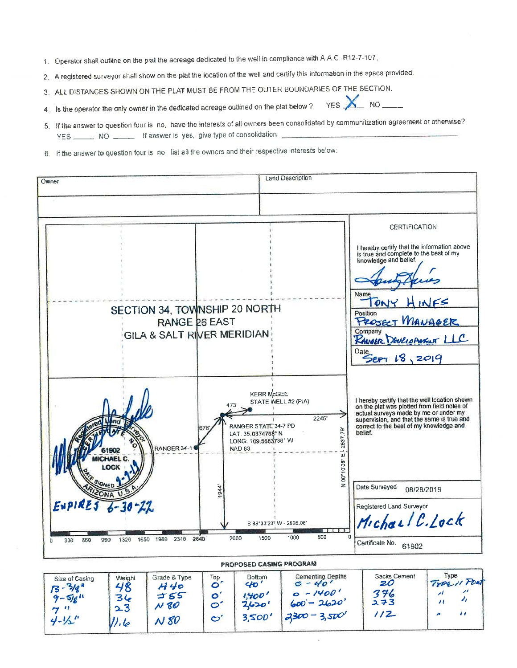- 1. Operator shall outline on the plat the acreage dedicated to the well in compliance with A.A.C. R12-7-107,
- 2. A registered surveyor shall show on the plat the location of the well and certify this information in the space provided.
- 3. ALL DISTANCES SHOWN ON THE PLAT MUST BE FROM THE OUTER BOUNDARIES OF THE SECTION.

YES X **NO** 4. Is the operator the only owner in the dedicated acreage outlined on the plat below?

- 5. If the answer to question four is no, have the interests of all owners been consolidated by communitization agreement or otherwise? YES \_\_\_\_\_\_ NO \_\_\_\_\_\_ If answer is yes, give type of consolidation
- 6. If the answer to question four is no, list all the owners and their respective interests below:



| Size of Casing<br>$13 - \frac{3}{8}$<br>$9 - 518$<br>∼<br>$4 - 1/2$ | Weight<br>48<br>34<br>23<br>7.6 | Grade & Type<br>H 40<br>755<br>N80<br>V80 | Top<br>$\bullet$<br>O<br>ဇ | <b>Bottom</b><br>$40^{\circ}$<br>1,400'<br>2620'<br>3500' | Cementing Depths<br>$0 - 40'$<br>$0 - 1400'$<br>$600 - 2620$<br>$3300 - 3500'$ | Sacks Cement<br>20<br>376<br>スヲ3<br>12 | Type<br>TYPE 11 PORT |
|---------------------------------------------------------------------|---------------------------------|-------------------------------------------|----------------------------|-----------------------------------------------------------|--------------------------------------------------------------------------------|----------------------------------------|----------------------|
|---------------------------------------------------------------------|---------------------------------|-------------------------------------------|----------------------------|-----------------------------------------------------------|--------------------------------------------------------------------------------|----------------------------------------|----------------------|